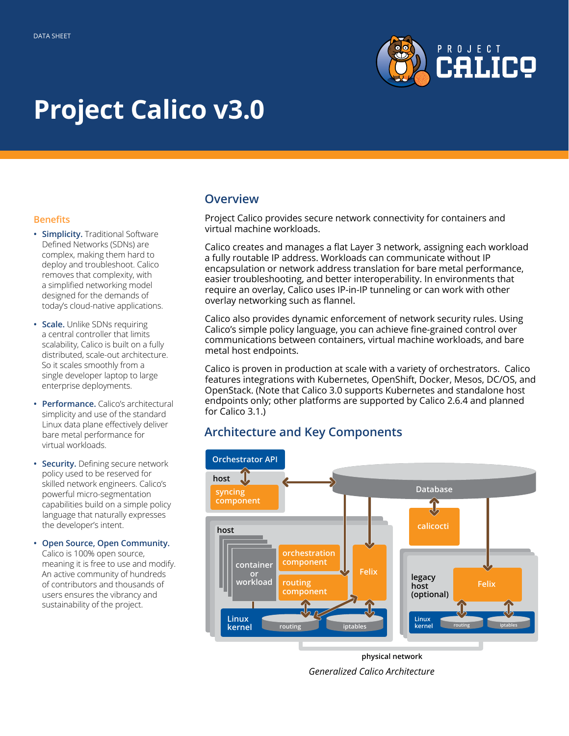

# **Project Calico v3.0**

#### **Benefits**

- **• Simplicity.** Traditional Software Defined Networks (SDNs) are complex, making them hard to deploy and troubleshoot. Calico removes that complexity, with a simplified networking model designed for the demands of today's cloud-native applications.
- **• Scale.** Unlike SDNs requiring a central controller that limits scalability, Calico is built on a fully distributed, scale-out architecture. So it scales smoothly from a single developer laptop to large enterprise deployments.
- **• Performance.** Calico's architectural simplicity and use of the standard Linux data plane effectively deliver bare metal performance for virtual workloads.
- **• Security.** Defining secure network policy used to be reserved for skilled network engineers. Calico's powerful micro-segmentation capabilities build on a simple policy language that naturally expresses the developer's intent.
- **• Open Source, Open Community.**  Calico is 100% open source, meaning it is free to use and modify. An active community of hundreds of contributors and thousands of users ensures the vibrancy and sustainability of the project.

#### **Overview**

Project Calico provides secure network connectivity for containers and virtual machine workloads.

Calico creates and manages a flat Layer 3 network, assigning each workload a fully routable IP address. Workloads can communicate without IP encapsulation or network address translation for bare metal performance, easier troubleshooting, and better interoperability. In environments that require an overlay, Calico uses IP-in-IP tunneling or can work with other overlay networking such as flannel.

Calico also provides dynamic enforcement of network security rules. Using Calico's simple policy language, you can achieve fine-grained control over communications between containers, virtual machine workloads, and bare metal host endpoints.

Calico is proven in production at scale with a variety of orchestrators. Calico features integrations with Kubernetes, OpenShift, Docker, Mesos, DC/OS, and OpenStack. (Note that Calico 3.0 supports Kubernetes and standalone host endpoints only; other platforms are supported by Calico 2.6.4 and planned for Calico 3.1.)

## **Architecture and Key Components**



**physical network** *Generalized Calico Architecture*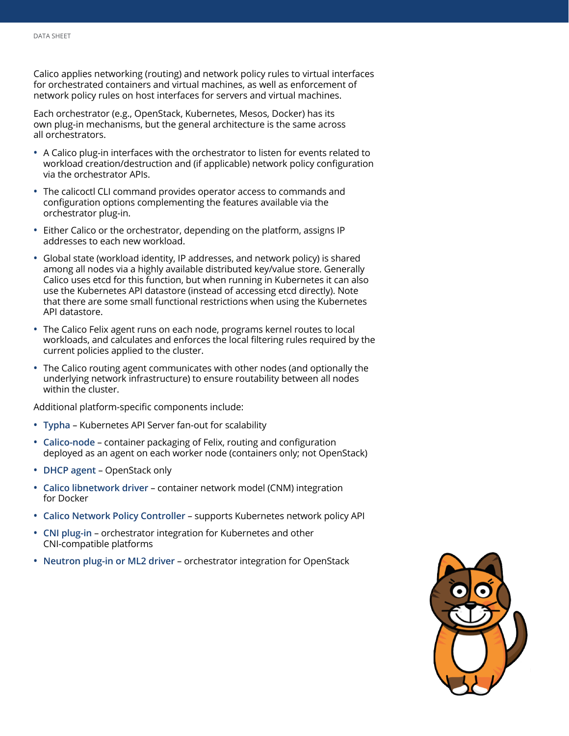Calico applies networking (routing) and network policy rules to virtual interfaces for orchestrated containers and virtual machines, as well as enforcement of network policy rules on host interfaces for servers and virtual machines.

Each orchestrator (e.g., OpenStack, Kubernetes, Mesos, Docker) has its own plug-in mechanisms, but the general architecture is the same across all orchestrators.

- **•** A Calico plug-in interfaces with the orchestrator to listen for events related to workload creation/destruction and (if applicable) network policy configuration via the orchestrator APIs.
- **•** The calicoctl CLI command provides operator access to commands and configuration options complementing the features available via the orchestrator plug-in.
- **•** Either Calico or the orchestrator, depending on the platform, assigns IP addresses to each new workload.
- **•** Global state (workload identity, IP addresses, and network policy) is shared among all nodes via a highly available distributed key/value store. Generally Calico uses etcd for this function, but when running in Kubernetes it can also use the Kubernetes API datastore (instead of accessing etcd directly). Note that there are some small functional restrictions when using the Kubernetes API datastore.
- **•** The Calico Felix agent runs on each node, programs kernel routes to local workloads, and calculates and enforces the local filtering rules required by the current policies applied to the cluster.
- **•** The Calico routing agent communicates with other nodes (and optionally the underlying network infrastructure) to ensure routability between all nodes within the cluster.

Additional platform-specific components include:

- **• Typha** Kubernetes API Server fan-out for scalability
- **• Calico-node** container packaging of Felix, routing and configuration deployed as an agent on each worker node (containers only; not OpenStack)
- **• DHCP agent** OpenStack only
- **• Calico libnetwork driver**  container network model (CNM) integration for Docker
- **• Calico Network Policy Controller** supports Kubernetes network policy API
- **• CNI plug-in** orchestrator integration for Kubernetes and other CNI-compatible platforms
- **• Neutron plug-in or ML2 driver** orchestrator integration for OpenStack

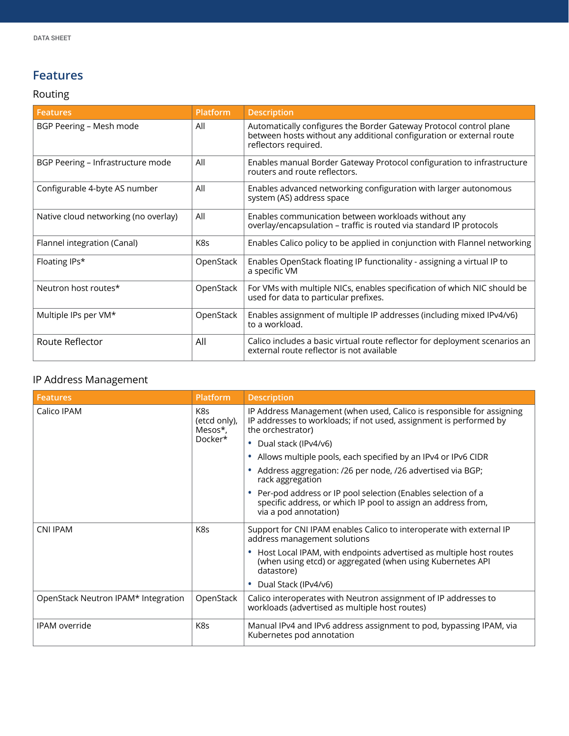# **Features**

# Routing

| <b>Features</b>                      | Platform  | <b>Description</b>                                                                                                                                                 |
|--------------------------------------|-----------|--------------------------------------------------------------------------------------------------------------------------------------------------------------------|
| BGP Peering - Mesh mode              | All       | Automatically configures the Border Gateway Protocol control plane<br>between hosts without any additional configuration or external route<br>reflectors required. |
| BGP Peering - Infrastructure mode    | All       | Enables manual Border Gateway Protocol configuration to infrastructure<br>routers and route reflectors.                                                            |
| Configurable 4-byte AS number        | All       | Enables advanced networking configuration with larger autonomous<br>system (AS) address space                                                                      |
| Native cloud networking (no overlay) | All       | Enables communication between workloads without any<br>overlay/encapsulation - traffic is routed via standard IP protocols                                         |
| Flannel integration (Canal)          | K8s       | Enables Calico policy to be applied in conjunction with Flannel networking                                                                                         |
| Floating IPs*                        | OpenStack | Enables OpenStack floating IP functionality - assigning a virtual IP to<br>a specific VM                                                                           |
| Neutron host routes*                 | OpenStack | For VMs with multiple NICs, enables specification of which NIC should be<br>used for data to particular prefixes.                                                  |
| Multiple IPs per VM*                 | OpenStack | Enables assignment of multiple IP addresses (including mixed IPv4/v6)<br>to a workload.                                                                            |
| Route Reflector                      | All       | Calico includes a basic virtual route reflector for deployment scenarios an<br>external route reflector is not available                                           |

### IP Address Management

| <b>Features</b>                     | <b>Platform</b>                           | <b>Description</b>                                                                                                                                               |
|-------------------------------------|-------------------------------------------|------------------------------------------------------------------------------------------------------------------------------------------------------------------|
| Calico IPAM                         | K8s<br>(etcd only),<br>Mesos*,<br>Docker* | IP Address Management (when used, Calico is responsible for assigning<br>IP addresses to workloads; if not used, assignment is performed by<br>the orchestrator) |
|                                     |                                           | • Dual stack (IPv4/v6)                                                                                                                                           |
|                                     |                                           | Allows multiple pools, each specified by an IPv4 or IPv6 CIDR<br>٠                                                                                               |
|                                     |                                           | Address aggregation: /26 per node, /26 advertised via BGP;<br>rack aggregation                                                                                   |
|                                     |                                           | Per-pod address or IP pool selection (Enables selection of a<br>specific address, or which IP pool to assign an address from,<br>via a pod annotation)           |
| <b>CNI IPAM</b>                     | K8s                                       | Support for CNI IPAM enables Calico to interoperate with external IP<br>address management solutions                                                             |
|                                     |                                           | Host Local IPAM, with endpoints advertised as multiple host routes<br>۰<br>(when using etcd) or aggregated (when using Kubernetes API<br>datastore)              |
|                                     |                                           | Dual Stack (IPv4/v6)                                                                                                                                             |
| OpenStack Neutron IPAM* Integration | OpenStack                                 | Calico interoperates with Neutron assignment of IP addresses to<br>workloads (advertised as multiple host routes)                                                |
| <b>IPAM</b> override                | K8s                                       | Manual IPv4 and IPv6 address assignment to pod, bypassing IPAM, via<br>Kubernetes pod annotation                                                                 |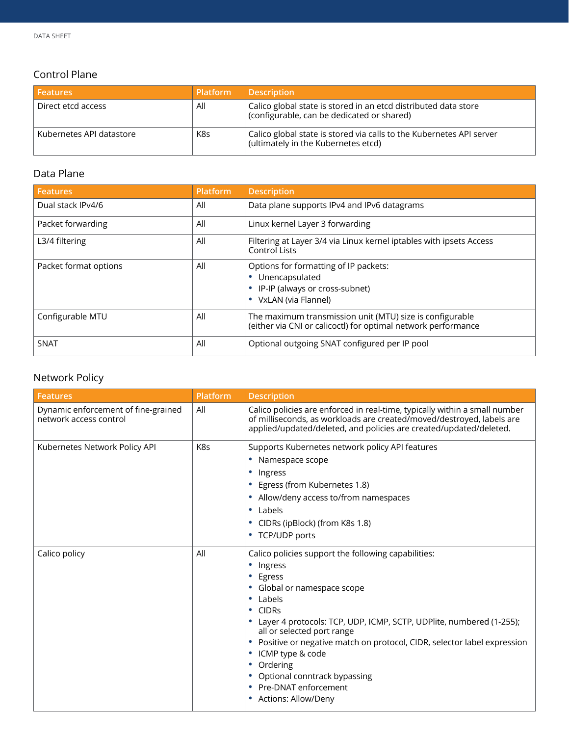## Control Plane

| l Features               | <b>Platform</b> | <b>Description</b>                                                                                                          |
|--------------------------|-----------------|-----------------------------------------------------------------------------------------------------------------------------|
| Direct etcd access       | All             | Calico global state is stored in an etcd distributed data store<br>$\frac{1}{2}$ (configurable, can be dedicated or shared) |
| Kubernetes API datastore | K8s             | Calico global state is stored via calls to the Kubernetes API server<br>(ultimately in the Kubernetes etcd)                 |

#### Data Plane

| <b>Features</b>       | <b>Platform</b> | <b>Description</b>                                                                                                        |
|-----------------------|-----------------|---------------------------------------------------------------------------------------------------------------------------|
| Dual stack IPv4/6     | All             | Data plane supports IPv4 and IPv6 datagrams                                                                               |
| Packet forwarding     | All             | Linux kernel Layer 3 forwarding                                                                                           |
| L3/4 filtering        | All             | Filtering at Layer 3/4 via Linux kernel iptables with ipsets Access<br><b>Control Lists</b>                               |
| Packet format options | All             | Options for formatting of IP packets:<br>Unencapsulated<br>IP-IP (always or cross-subnet)<br>VxLAN (via Flannel)          |
| Configurable MTU      | All             | The maximum transmission unit (MTU) size is configurable<br>(either via CNI or calicoctl) for optimal network performance |
| <b>SNAT</b>           | All             | Optional outgoing SNAT configured per IP pool                                                                             |

# Network Policy

| <b>Features</b>                                               | Platform | <b>Description</b>                                                                                                                                                                                                                                                                                                                                                                                                                                           |
|---------------------------------------------------------------|----------|--------------------------------------------------------------------------------------------------------------------------------------------------------------------------------------------------------------------------------------------------------------------------------------------------------------------------------------------------------------------------------------------------------------------------------------------------------------|
| Dynamic enforcement of fine-grained<br>network access control | All      | Calico policies are enforced in real-time, typically within a small number<br>of milliseconds, as workloads are created/moved/destroyed, labels are<br>applied/updated/deleted, and policies are created/updated/deleted.                                                                                                                                                                                                                                    |
| Kubernetes Network Policy API                                 | K8s      | Supports Kubernetes network policy API features<br>• Namespace scope<br>• Ingress<br>Egress (from Kubernetes 1.8)<br>٠<br>Allow/deny access to/from namespaces<br>Labels<br>$\bullet$<br>CIDRs (ipBlock) (from K8s 1.8)<br>$\bullet$<br>• TCP/UDP ports                                                                                                                                                                                                      |
| Calico policy                                                 | All      | Calico policies support the following capabilities:<br>• Ingress<br>Egress<br>Global or namespace scope<br>$\bullet$<br>Labels<br>٠<br>• CIDRs<br>• Layer 4 protocols: TCP, UDP, ICMP, SCTP, UDPlite, numbered (1-255);<br>all or selected port range<br>Positive or negative match on protocol, CIDR, selector label expression<br>ICMP type & code<br>Ordering<br>$\bullet$<br>Optional conntrack bypassing<br>Pre-DNAT enforcement<br>Actions: Allow/Deny |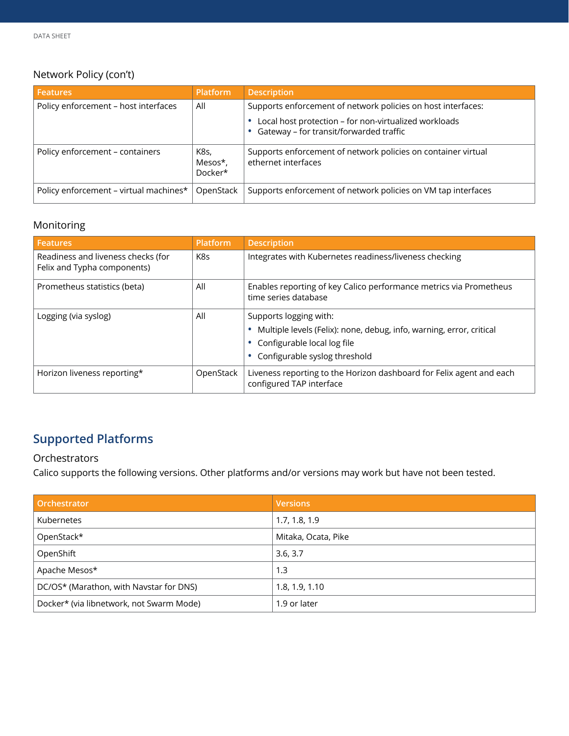# Network Policy (con't)

| <b>Features</b>                        | <b>Platform</b>            | <b>Description</b>                                                                               |
|----------------------------------------|----------------------------|--------------------------------------------------------------------------------------------------|
| Policy enforcement - host interfaces   | All                        | Supports enforcement of network policies on host interfaces:                                     |
|                                        |                            | Local host protection - for non-virtualized workloads<br>Gateway - for transit/forwarded traffic |
| Policy enforcement - containers        | K8s,<br>Mesos*,<br>Docker* | Supports enforcement of network policies on container virtual<br>ethernet interfaces             |
| Policy enforcement - virtual machines* | OpenStack                  | Supports enforcement of network policies on VM tap interfaces                                    |

#### Monitoring

| <b>Features</b>                                                   | <b>Platform</b> | <b>Description</b>                                                                                                                                             |
|-------------------------------------------------------------------|-----------------|----------------------------------------------------------------------------------------------------------------------------------------------------------------|
| Readiness and liveness checks (for<br>Felix and Typha components) | K8s             | Integrates with Kubernetes readiness/liveness checking                                                                                                         |
| Prometheus statistics (beta)                                      | All             | Enables reporting of key Calico performance metrics via Prometheus<br>time series database                                                                     |
| Logging (via syslog)                                              | All             | Supports logging with:<br>Multiple levels (Felix): none, debug, info, warning, error, critical<br>Configurable local log file<br>Configurable syslog threshold |
| Horizon liveness reporting*                                       | OpenStack       | Liveness reporting to the Horizon dashboard for Felix agent and each<br>configured TAP interface                                                               |

# **Supported Platforms**

#### Orchestrators

Calico supports the following versions. Other platforms and/or versions may work but have not been tested.

| Orchestrator                             | <b>Versions</b>     |
|------------------------------------------|---------------------|
| <b>Kubernetes</b>                        | 1.7, 1.8, 1.9       |
| OpenStack*                               | Mitaka, Ocata, Pike |
| OpenShift                                | 3.6, 3.7            |
| Apache Mesos*                            | 1.3                 |
| DC/OS* (Marathon, with Navstar for DNS)  | 1.8, 1.9, 1.10      |
| Docker* (via libnetwork, not Swarm Mode) | 1.9 or later        |